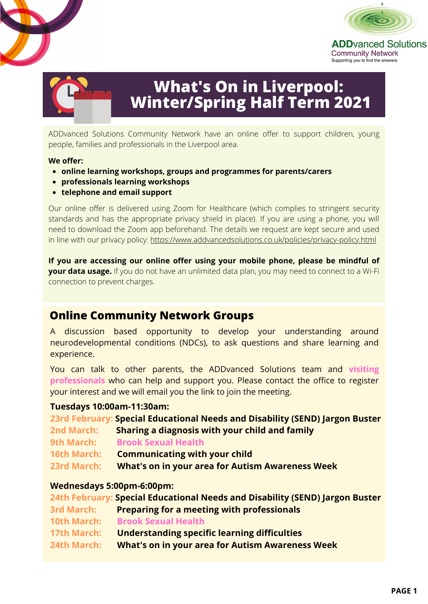



**ADD**vanced Solutions **Community Network** Supporting you to find the answers



# **What's On in Liverpool: Winter/Spring Half Term 2021**

ADDvanced Solutions Community Network have an online offer to support children, young people, families and professionals in the Liverpool area.

#### **We offer:**

- **online learning workshops, groups and programmes for parents/carers**
- **professionals learning workshops**
- **telephone and email support**

Our online offer is delivered using Zoom for Healthcare (which complies to stringent security standards and has the appropriate privacy shield in place). If you are using a phone, you will need to download the Zoom app beforehand. The details we request are kept secure and used in line with our privacy policy:<https://www.addvancedsolutions.co.uk/policies/privacy-policy.html>

**If you are accessing our online offer using your mobile phone, please be mindful of your data usage.** If you do not have an unlimited data plan, you may need to connect to a Wi-Fi connection to prevent charges.

## **Online Community Network Groups**

A discussion based opportunity to develop your understanding around neurodevelopmental conditions (NDCs), to ask questions and share learning and experience.

You can talk to other parents, the ADDvanced Solutions team and **visiting professionals** who can help and support you. Please contact the office to register your interest and we will email you the link to join the meeting.

#### **Tuesdays 10:00am-11:30am:**

|                    | 23rd February: Special Educational Needs and Disability (SEND) Jargon Buster |
|--------------------|------------------------------------------------------------------------------|
| <b>2nd March:</b>  | Sharing a diagnosis with your child and family                               |
| 9th March:         | <b>Brook Sexual Health</b>                                                   |
| <b>16th March:</b> | <b>Communicating with your child</b>                                         |
| <b>23rd March:</b> | <b>What's on in your area for Autism Awareness Week</b>                      |

#### **Wednesdays 5:00pm-6:00pm:**

|                    | 24th February: Special Educational Needs and Disability (SEND) Jargon Buster |
|--------------------|------------------------------------------------------------------------------|
| <b>3rd March:</b>  | <b>Preparing for a meeting with professionals</b>                            |
| <b>10th March:</b> | <b>Brook Sexual Health</b>                                                   |
| <b>17th March:</b> | <b>Understanding specific learning difficulties</b>                          |
| 24th March:        | <b>What's on in your area for Autism Awareness Week</b>                      |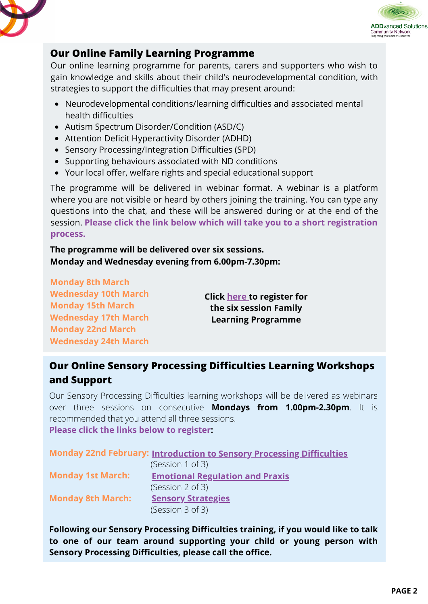



## **Our Online Family Learning Programme**

Our online learning programme for parents, carers and supporters who wish to gain knowledge and skills about their child's neurodevelopmental condition, with strategies to support the difficulties that may present around:

- Neurodevelopmental conditions/learning difficulties and associated mental health difficulties
- Autism Spectrum Disorder/Condition (ASD/C)
- Attention Deficit Hyperactivity Disorder (ADHD)
- Sensory Processing/Integration Difficulties (SPD)
- Supporting behaviours associated with ND conditions
- Your local offer, welfare rights and special educational support

The programme will be delivered in webinar format. A webinar is a platform where you are not visible or heard by others joining the training. You can type any questions into the chat, and these will be answered during or at the end of the session. **Please click the link below which will take you to a short registration process.**

**The programme will be delivered over six sessions. Monday and Wednesday evening from 6.00pm-7.30pm:**

**Monday 8th March Wednesday 10th March Monday 15th March Wednesday 17th March Monday 22nd March Wednesday 24th March**

**Click [here](https://zoom.us/webinar/register/WN_UOYNxnkbSAa3YrEEGQ3DYQ) to register for the six session Family Learning Programme**

## **Our Online Sensory Processing Difficulties Learning Workshops and Support**

Our Sensory Processing Difficulties learning workshops will be delivered as webinars over three sessions on consecutive **Mondays from 1.00pm-2.30pm**. It is recommended that you attend all three sessions. **Please click the links below to register:**

|                          | Monday 22nd February: Introduction to Sensory Processing Difficulties |
|--------------------------|-----------------------------------------------------------------------|
|                          | (Session 1 of 3)                                                      |
| <b>Monday 1st March:</b> | <b>Emotional Regulation and Praxis</b>                                |
|                          | (Session 2 of 3)                                                      |
| <b>Monday 8th March:</b> | <b>Sensory Strategies</b>                                             |
|                          | (Session 3 of 3)                                                      |

**Following our Sensory Processing Difficulties training, if you would like to talk to one of our team around supporting your child or young person with Sensory Processing Difficulties, please call the office.**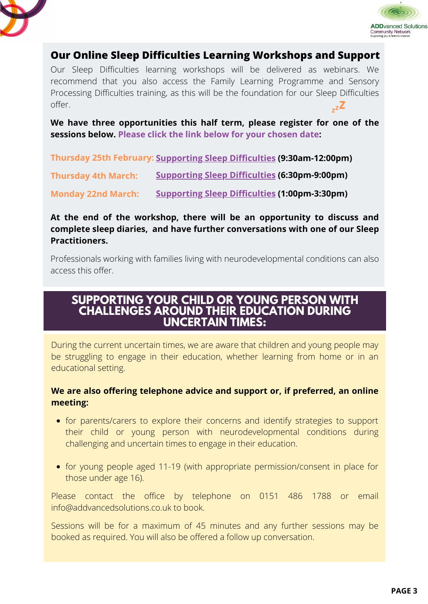



## **Our Online Sleep Difficulties Learning Workshops and Support**

Our Sleep Difficulties learning workshops will be delivered as webinars. We recommend that you also access the Family Learning Programme and Sensory Processing Difficulties training, as this will be the foundation for our Sleep Difficulties offer.

**We have three opportunities this half term, please register for one of the sessions below. Please click the link below for your chosen date:**

**Thursday 25th February: [Supporting](https://zoom.us/webinar/register/WN_E_TGCIXVSYCNlSvhcjcd2Q) Sleep Difficulties (9:30am-12:00pm)**

**Thursday 4th March: [Supporting](https://zoom.us/webinar/register/WN_bICq7goJSxOBcAVNXUQj-A) Sleep Difficulties (6:30pm-9:00pm)**

**Monday 22nd March: [Supporting](https://zoom.us/webinar/register/WN_RFbNimHaQ6GSoOtamg_W9Q) Sleep Difficulties [\(](https://zoom.us/webinar/register/WN_RFbNimHaQ6GSoOtamg_W9Q)1:00pm-3:30pm)**

#### **At the end of the workshop, there will be an opportunity to discuss and complete sleep diaries, and have further conversations with one of our Sleep Practitioners.**

Professionals working with families living with neurodevelopmental conditions can also access this offer.

## **SUPPORTING YOUR CHILD OR YOUNG PERSON WITH CHALLENGES AROUND THEIR EDUCATION DURING UNCERTAIN TIMES:**

During the current uncertain times, we are aware that children and young people may be struggling to engage in their education, whether learning from home or in an educational setting.

#### **We are also offering telephone advice and support or, if preferred, an online meeting:**

- for parents/carers to explore their concerns and identify strategies to support their child or young person with neurodevelopmental conditions during challenging and uncertain times to engage in their education.
- for young people aged 11-19 (with appropriate permission/consent in place for those under age 16).

Please contact the office by telephone on 0151 486 1788 or email info@addvancedsolutions.co.uk to book.

Sessions will be for a maximum of 45 minutes and any further sessions may be booked as required. You will also be offered a follow up conversation.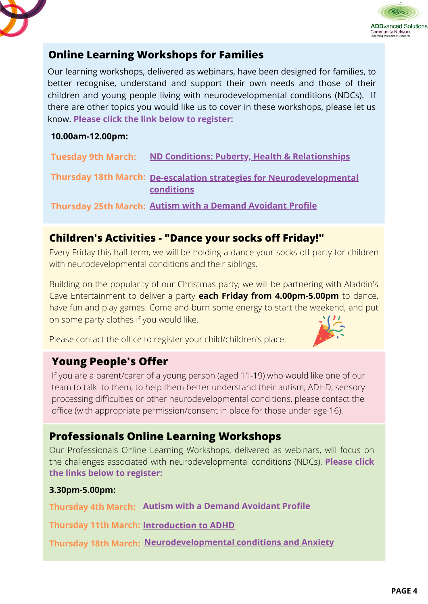



## **Online Learning Workshops for Families**

Our learning workshops, delivered as webinars, have been designed for families, to better recognise, understand and support their own needs and those of their children and young people living with neurodevelopmental conditions (NDCs). If there are other topics you would like us to cover in these workshops, please let us know. **Please click the link below to register:**

#### **10.00am-12.00pm:**

| <b>Tuesday 9th March:</b> | ND Conditions: Puberty, Health & Relationships                                     |
|---------------------------|------------------------------------------------------------------------------------|
|                           | Thursday 18th March: De-escalation strategies for Neurodevelopmental<br>conditions |
|                           | Thursday 25th March: Autism with a Demand Avoidant Profile                         |

## **Children's Activities - "Dance your socks off Friday!"**

Every Friday this half term, we will be holding a dance your socks off party for children with neurodevelopmental conditions and their siblings.

Building on the popularity of our Christmas party, we will be partnering with Aladdin's Cave Entertainment to deliver a party **each Friday from 4.00pm-5.00pm** to dance, have fun and play games. Come and burn some energy to start the weekend, and put on some party clothes if you would like.

Please contact the office to register your child/children's place.

## **Young People's Offer**

If you are a parent/carer of a young person (aged 11-19) who would like one of our team to talk to them, to help them better understand their autism, ADHD, sensory processing difficulties or other neurodevelopmental conditions, please contact the office (with appropriate permission/consent in place for those under age 16).

## **Professionals Online Learning Workshops**

Our Professionals Online Learning Workshops, delivered as webinars, will focus on the challenges associated with neurodevelopmental conditions (NDCs). **Please click the links below to register:**

#### **3.30pm-5.00pm:**

**Thursday 4th March: Autism with a Demand [Avoidant](https://zoom.us/webinar/register/WN_7S1NDXEzTSujEaHe4XsDmg) Profile**

**Thursday 11th March: [Introduction](https://zoom.us/webinar/register/WN_QUR7BfoDTAWvIhkG1arXpg) to ADHD**

**Thursday 18th March: [Neurodevelopmental](https://zoom.us/webinar/register/WN_gBjC9W-yR-ChzLwSQH0aAw) conditions and Anxiety**